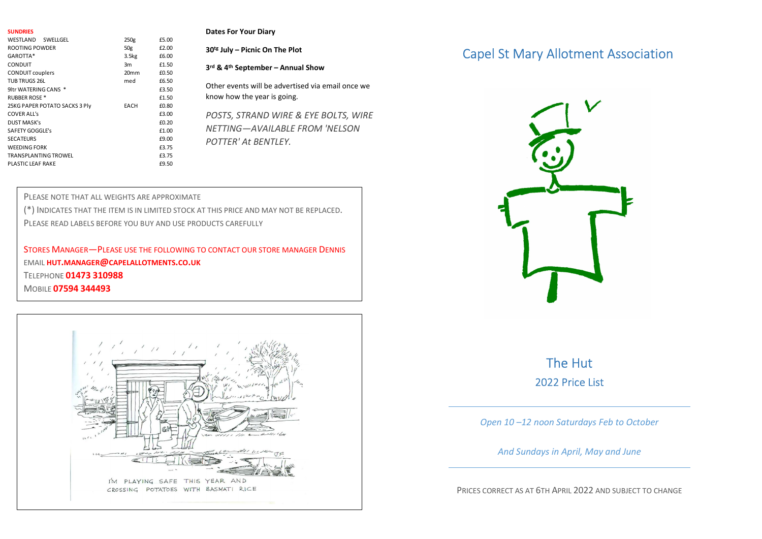| <b>SUNDRIES</b>                              |                  |                | <b>Dates For Your Diary</b>                                                            |
|----------------------------------------------|------------------|----------------|----------------------------------------------------------------------------------------|
| WESTLAND SWELLGEL                            | 250g             | £5.00          |                                                                                        |
| ROOTING POWDER                               | 50g              | £2.00          | 30 <sup>tg</sup> July - Picnic On The Plot                                             |
| GAROTTA*<br>CONDUIT                          | 3.5kg<br>3m      | £6.00<br>£1.50 |                                                                                        |
| <b>CONDUIT couplers</b>                      | 20 <sub>mm</sub> | £0.50          | 3rd & 4th September - Annual Show                                                      |
| TUB TRUGS 26L                                | med              | £6.50          | Other events will be advertised via email once we                                      |
| 9ltr WATERING CANS *<br><b>RUBBER ROSE *</b> |                  | £3.50<br>£1.50 | know how the year is going.                                                            |
| 25KG PAPER POTATO SACKS 3 Ply                | EACH             | £0.80          |                                                                                        |
| <b>COVER ALL's</b>                           |                  | £3.00          | POSTS, STRAND WIRE & EYE BOLTS, WIRE                                                   |
| <b>DUST MASK's</b>                           |                  | £0.20          | NETTING-AVAILABLE FROM 'NELSON                                                         |
| SAFETY GOGGLE's<br><b>SECATEURS</b>          |                  | £1.00<br>£9.00 |                                                                                        |
| <b>WEEDING FORK</b>                          |                  | £3.75          | POTTER' At BENTLEY.                                                                    |
| TRANSPLANTING TROWEL                         |                  | £3.75          |                                                                                        |
| PLASTIC LEAF RAKE                            |                  | £9.50          |                                                                                        |
|                                              |                  |                |                                                                                        |
|                                              |                  |                |                                                                                        |
| PLEASE NOTE THAT ALL WEIGHTS ARE APPROXIMATE |                  |                |                                                                                        |
|                                              |                  |                | (*) INDICATES THAT THE ITEM IS IN LIMITED STOCK AT THIS PRICE AND MAY NOT BE REPLACED. |
|                                              |                  |                |                                                                                        |

## Dates For Your Diary

STORES MANAGER—PLEASE USE THE FOLLOWING TO CONTACT OUR STORE MANAGER DENNIS EMAIL HUT.MANAGER@CAPELALLOTMENTS.CO.UK TELEPHONE 01473 310988 **MOBILE 07594 344493** 



## Capel St Mary Allotment Association



## The Hut 2022 Price List

Open 10 –12 noon Saturdays Feb to October

And Sundays in April, May and June

PRICES CORRECT AS AT 6TH APRIL 2022 AND SUBJECT TO CHANGE